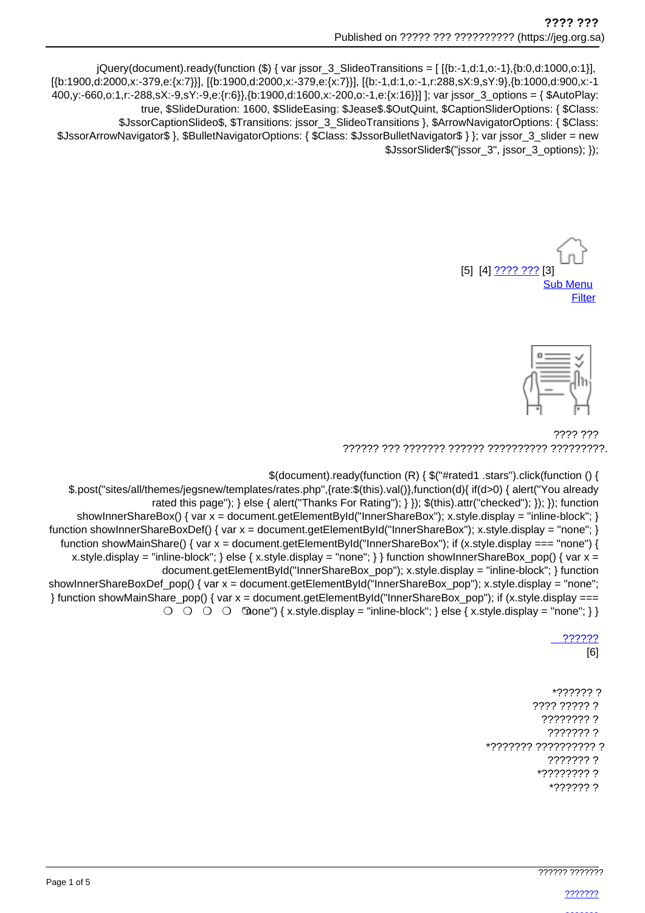jQuery(document).ready(function (\$) { var jssor\_3\_SlideoTransitions = [[{b:-1,d:1,o:-1},{b:0,d:1000,o:1}], [{b:1900.d:2000.x:-379.e:{x:7}}], [{b:1900.d:2000.x:-379.e:{x:7}}], [{b:-1.d:1.o:-1.r:288.sX:9.sY:9}, {b:1000.d:900.x:-1 400,y:-660,o:1,r:-288,sX:-9,sY:-9,e:{r:6}},{b:1900,d:1600,x:-200,o:-1,e:{x:16}}] ]; var jssor\_3\_options = { \$AutoPlay: true, \$SlideDuration: 1600, \$SlideEasing: \$Jease\$.\$OutQuint, \$CaptionSliderOptions: { \$Class: \$JssorCaptionSlideo\$, \$Transitions: jssor\_3\_SlideoTransitions }, \$ArrowNavigatorOptions: { \$Class: \$JssorArrowNavigator\$ }, \$BulletNavigatorOptions: { \$Class: \$JssorBulletNavigator\$ } }; var jssor\_3\_slider = new \$JssorSlider\$("jssor 3", jssor 3 options); });





7777 777 

\$(document).ready(function (R) { \$("#rated1 .stars").click(function () {

\$.post("sites/all/themes/jegsnew/templates/rates.php",{rate:\$(this).val()},function(d){ if(d>0) { alert("You already rated this page"); } else { alert("Thanks For Rating"); } }); \$(this).attr("checked"); }); }); function showInnerShareBox() { var  $x =$  document.getElementById("InnerShareBox"); x.style.display = "inline-block"; } function showInnerShareBoxDef() { var x = document.getElementById("InnerShareBox"); x.style.display = "none"; } function showMainShare() { var  $x =$  document.getElementById("InnerShareBox"); if (x.style.display === "none") { x.style.display = "inline-block"; } else { x.style.display = "none"; } } function show Inner ShareBox pop() { var  $x =$ document.getElementById("InnerShareBox pop"); x.style.display = "inline-block"; } function showInnerShareBoxDef\_pop() { var x = document.getElementById("InnerShareBox\_pop"); x.style.display = "none"; } function showMainShare\_pop() { var x = document.getElementById("InnerShareBox\_pop"); if (x.style.display ===  $\bigcirc$   $\bigcirc$   $\bigcirc$   $\bigcirc$   $\bigcirc$   $\bigcirc$   $\bigcirc$   $\bigcirc$   $\bigcirc$   $\bigcirc$   $\bigcirc$   $\bigcirc$   $\bigcirc$   $\bigcirc$   $\bigcirc$   $\bigcirc$   $\bigcirc$   $\bigcirc$   $\bigcirc$   $\bigcirc$   $\bigcirc$   $\bigcirc$   $\bigcirc$   $\bigcirc$   $\bigcirc$   $\bigcirc$   $\bigcirc$   $\bigcirc$   $\bigcirc$   $\bigcirc$   $\bigcirc$   $\bigcirc$   $\bigcirc$   $\bigcirc$   $\bigcirc$   $\bigcirc$   $\bigcirc$ 

## 777777

 $[6]$ 

\*???????? ???? ????? ? ???????? ? ??????? ? \*??????? ?????????? ? ??????? ? \*???????? ?  $*7777777$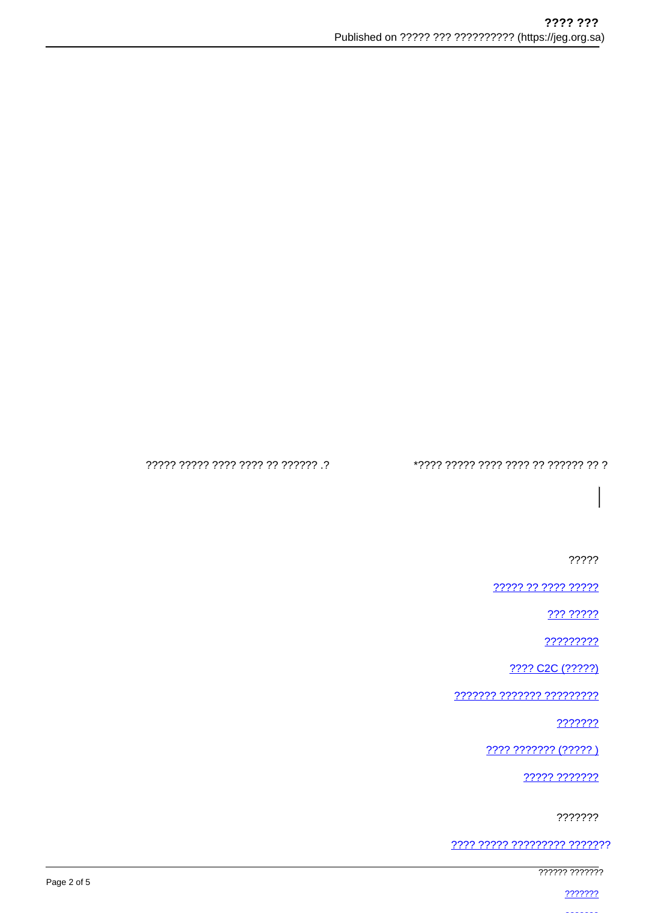\*???? ????? ???? ???? ?? ?????? ?? ?

????? ????? ???? ???? ?? ?????? .?

?????

77777 ?? ???? ?????

??? ?????

?????????

???? C2C (?????)

7777777 7777777 777777777

???????

???? ??????? (????? )

????? ???????

???????

7777 77777 777777777 7777777

777777 7777777

2222222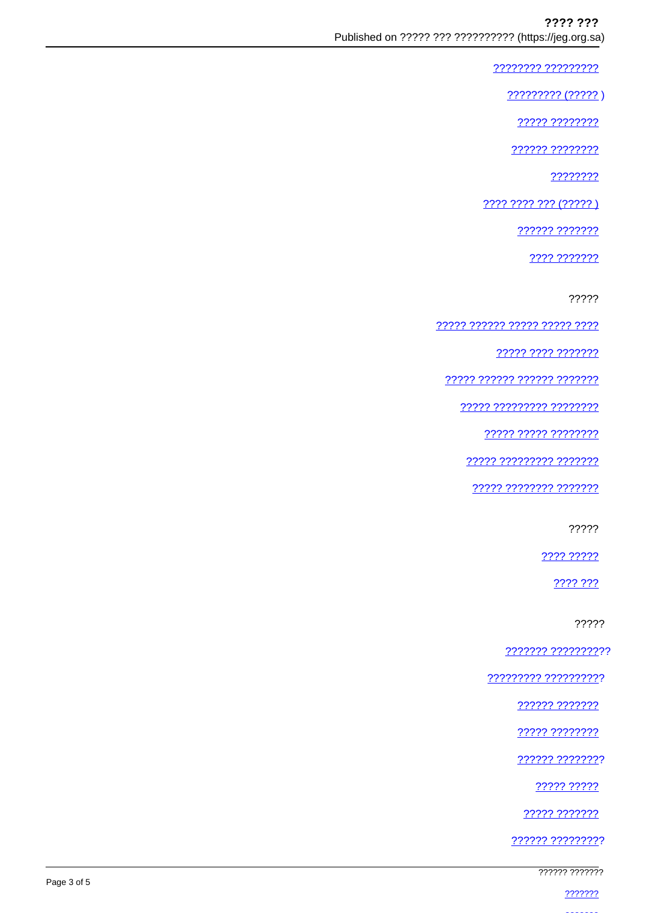???????? ??????????

????????? (?????)

22222 22222222

?????? ????????

????????

???? ???? ??? (????? )

222222 2222222

???? ???????

?????

77777 777777 77777 77777 7777

77777 7777 7777777

????? ?????? ?????? ???????

77777 777777777 77777777

????? ????? ????????

<u> ????? ????????? ???????</u>

77777 77777777 7777777

?????

???? ?????

???? ???

?????

??????? ??????????

????????? ??????????

?????? ???????

????? ????????

?????? ????????

????? ?????

????? ???????

?????? ?????????

777777 7777777

2222222